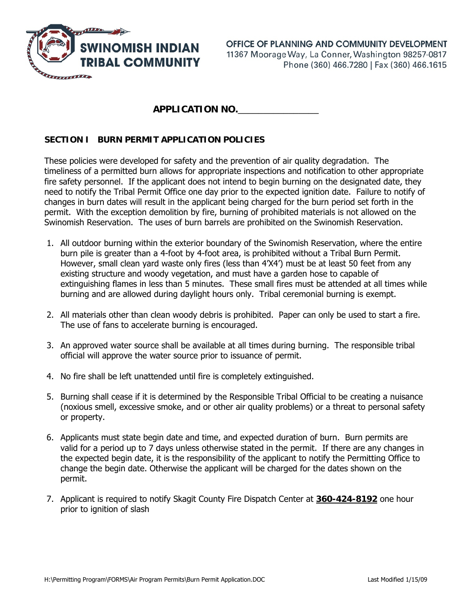

**APPLICATION NO.**\_\_\_\_\_\_\_\_\_\_\_\_\_\_\_\_

## **SECTION I BURN PERMIT APPLICATION POLICIES**

These policies were developed for safety and the prevention of air quality degradation. The timeliness of a permitted burn allows for appropriate inspections and notification to other appropriate fire safety personnel. If the applicant does not intend to begin burning on the designated date, they need to notify the Tribal Permit Office one day prior to the expected ignition date. Failure to notify of changes in burn dates will result in the applicant being charged for the burn period set forth in the permit. With the exception demolition by fire, burning of prohibited materials is not allowed on the Swinomish Reservation. The uses of burn barrels are prohibited on the Swinomish Reservation.

- 1. All outdoor burning within the exterior boundary of the Swinomish Reservation, where the entire burn pile is greater than a 4-foot by 4-foot area, is prohibited without a Tribal Burn Permit. However, small clean yard waste only fires (less than 4'X4') must be at least 50 feet from any existing structure and woody vegetation, and must have a garden hose to capable of extinguishing flames in less than 5 minutes. These small fires must be attended at all times while burning and are allowed during daylight hours only. Tribal ceremonial burning is exempt.
- 2. All materials other than clean woody debris is prohibited. Paper can only be used to start a fire. The use of fans to accelerate burning is encouraged.
- 3. An approved water source shall be available at all times during burning. The responsible tribal official will approve the water source prior to issuance of permit.
- 4. No fire shall be left unattended until fire is completely extinguished.
- 5. Burning shall cease if it is determined by the Responsible Tribal Official to be creating a nuisance (noxious smell, excessive smoke, and or other air quality problems) or a threat to personal safety or property.
- 6. Applicants must state begin date and time, and expected duration of burn. Burn permits are valid for a period up to 7 days unless otherwise stated in the permit. If there are any changes in the expected begin date, it is the responsibility of the applicant to notify the Permitting Office to change the begin date. Otherwise the applicant will be charged for the dates shown on the permit.
- 7. Applicant is required to notify Skagit County Fire Dispatch Center at **360-424-8192** one hour prior to ignition of slash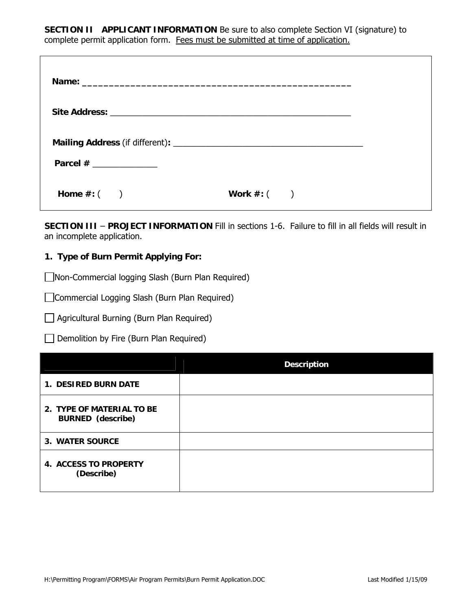**SECTION II APPLICANT INFORMATION** Be sure to also complete Section VI (signature) to complete permit application form. Fees must be submitted at time of application.

| Parcel $#$ _______________ |                 |  |
|----------------------------|-----------------|--|
| Home $\#$ : $($            | Work $\#$ : $($ |  |

**SECTION III** – **PROJECT INFORMATION** Fill in sections 1-6. Failure to fill in all fields will result in an incomplete application.

## **1. Type of Burn Permit Applying For:**

Non-Commercial logging Slash (Burn Plan Required)

Commercial Logging Slash (Burn Plan Required)

Agricultural Burning (Burn Plan Required)

 $\Box$  Demolition by Fire (Burn Plan Required)

|                                                       | <b>Description</b> |  |  |
|-------------------------------------------------------|--------------------|--|--|
| 1. DESIRED BURN DATE                                  |                    |  |  |
| 2. TYPE OF MATERIAL TO BE<br><b>BURNED</b> (describe) |                    |  |  |
| 3. WATER SOURCE                                       |                    |  |  |
| <b>4. ACCESS TO PROPERTY</b><br>(Describe)            |                    |  |  |